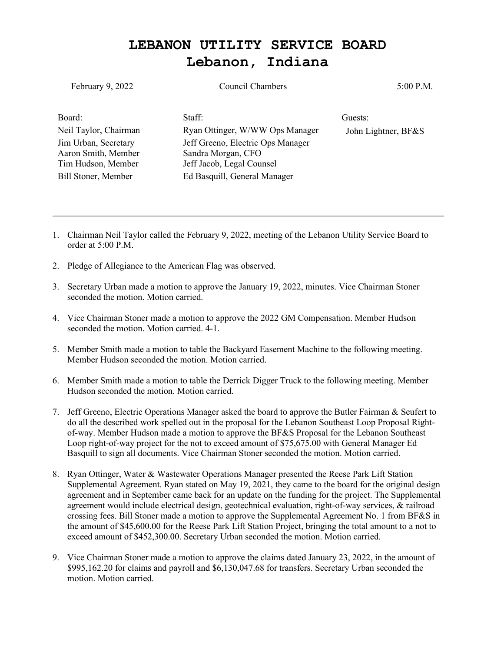## **LEBANON UTILITY SERVICE BOARD Lebanon, Indiana**

| February 9, 2022      | Council Chambers                  | 5:00 P.M.           |
|-----------------------|-----------------------------------|---------------------|
| Board:                | Staff:                            | Guests:             |
| Neil Taylor, Chairman | Ryan Ottinger, W/WW Ops Manager   | John Lightner, BF&S |
| Jim Urban, Secretary  | Jeff Greeno, Electric Ops Manager |                     |
| Aaron Smith, Member   | Sandra Morgan, CFO                |                     |
| Tim Hudson, Member    | Jeff Jacob, Legal Counsel         |                     |
| Bill Stoner, Member   | Ed Basquill, General Manager      |                     |

- 1. Chairman Neil Taylor called the February 9, 2022, meeting of the Lebanon Utility Service Board to order at 5:00 P.M.
- 2. Pledge of Allegiance to the American Flag was observed.
- 3. Secretary Urban made a motion to approve the January 19, 2022, minutes. Vice Chairman Stoner seconded the motion. Motion carried.
- 4. Vice Chairman Stoner made a motion to approve the 2022 GM Compensation. Member Hudson seconded the motion. Motion carried. 4-1.
- 5. Member Smith made a motion to table the Backyard Easement Machine to the following meeting. Member Hudson seconded the motion. Motion carried.
- 6. Member Smith made a motion to table the Derrick Digger Truck to the following meeting. Member Hudson seconded the motion. Motion carried.
- 7. Jeff Greeno, Electric Operations Manager asked the board to approve the Butler Fairman & Seufert to do all the described work spelled out in the proposal for the Lebanon Southeast Loop Proposal Rightof-way. Member Hudson made a motion to approve the BF&S Proposal for the Lebanon Southeast Loop right-of-way project for the not to exceed amount of \$75,675.00 with General Manager Ed Basquill to sign all documents. Vice Chairman Stoner seconded the motion. Motion carried.
- 8. Ryan Ottinger, Water & Wastewater Operations Manager presented the Reese Park Lift Station Supplemental Agreement. Ryan stated on May 19, 2021, they came to the board for the original design agreement and in September came back for an update on the funding for the project. The Supplemental agreement would include electrical design, geotechnical evaluation, right-of-way services, & railroad crossing fees. Bill Stoner made a motion to approve the Supplemental Agreement No. 1 from BF&S in the amount of \$45,600.00 for the Reese Park Lift Station Project, bringing the total amount to a not to exceed amount of \$452,300.00. Secretary Urban seconded the motion. Motion carried.
- 9. Vice Chairman Stoner made a motion to approve the claims dated January 23, 2022, in the amount of \$995,162.20 for claims and payroll and \$6,130,047.68 for transfers. Secretary Urban seconded the motion. Motion carried.